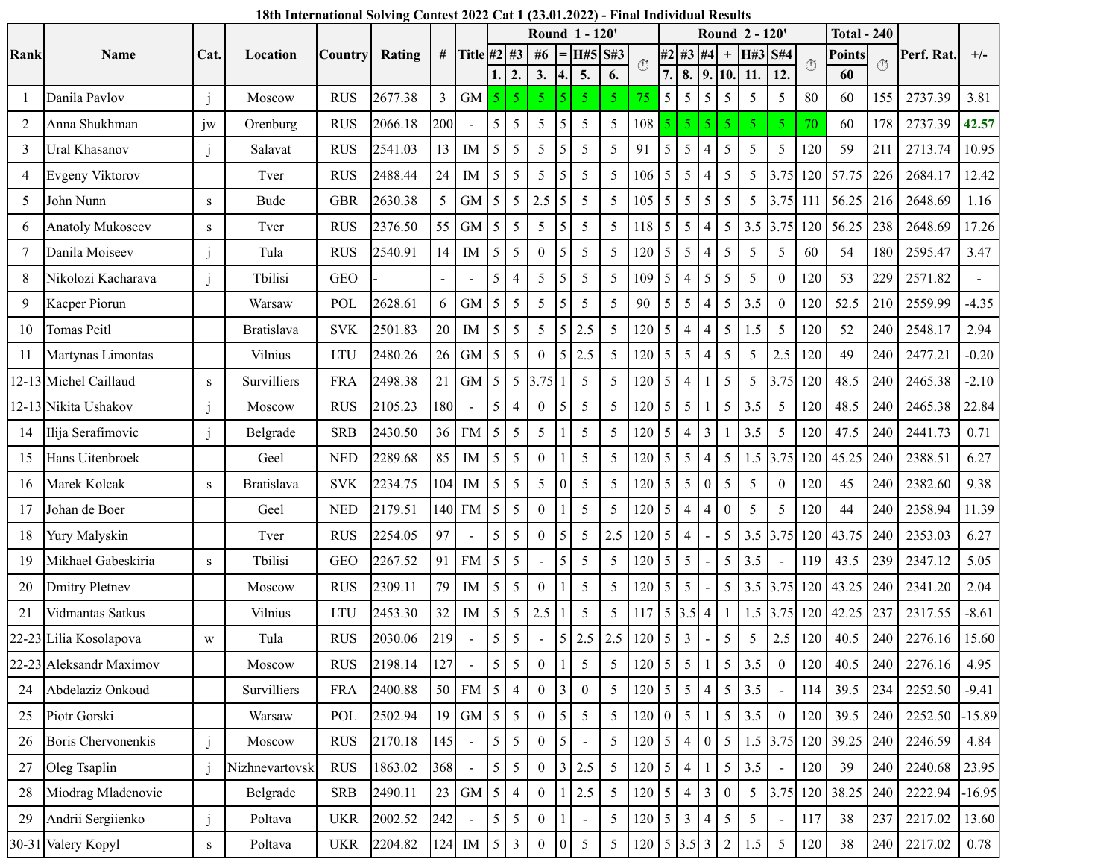|      |                           |              |                   | <b>Country</b> | Rating  | #   |                |                 |                |                  |                  | <b>Round 1-120'</b> |                |                     |                 |                 |                  |                  | Round 2 - 120   |                  |                    | <b>Total - 240</b> |                    |            |          |
|------|---------------------------|--------------|-------------------|----------------|---------|-----|----------------|-----------------|----------------|------------------|------------------|---------------------|----------------|---------------------|-----------------|-----------------|------------------|------------------|-----------------|------------------|--------------------|--------------------|--------------------|------------|----------|
| Rank | Name                      | Cat.         | Location          |                |         |     | Title #2 #3    |                 |                | #6               |                  | H#5                 | S#3            | Ō                   |                 | #2 #3 #4        |                  | $^{+}$           | H#3             | <b>S#4</b>       | $\circlearrowleft$ | Points             | $\circlearrowleft$ | Perf. Rat. | $+/-$    |
|      |                           |              |                   |                |         |     |                |                 | $\mathbf{2}$   | 3.               | 4.               | 5.                  | 6.             |                     | 7.              | 8.              | 9.               | 10.              | 11.             | 12.              |                    | 60                 |                    |            |          |
|      | Danila Pavlov             | $\mathbf{j}$ | Moscow            | <b>RUS</b>     | 2677.38 | 3   | <b>GM</b>      |                 | 5              | 5                |                  | 5.                  | $\overline{5}$ | 75                  | 5               | 5               | 5                | 5                | 5               | 5                | 80                 | 60                 | 155                | 2737.39    | 3.81     |
| 2    | Anna Shukhman             | jw           | Orenburg          | <b>RUS</b>     | 2066.18 | 200 |                | 5               | 5              | 5                | 5                | 5                   | 5              | 108                 | 5               | 5               | 5                | 5                | 5               | 5                | 70                 | 60                 | 178                | 2737.39    | 42.57    |
| 3    | Ural Khasanov             | $\mathbf{i}$ | Salavat           | <b>RUS</b>     | 2541.03 | 13  | IM             | 5               | 5              | 5                | 5                | 5                   | 5              | 91                  | $5\overline{)}$ | 5               | 4                | 5                | 5               | 5                | 120                | 59                 | 211                | 2713.74    | 10.95    |
| 4    | Evgeny Viktorov           |              | Tver              | <b>RUS</b>     | 2488.44 | 24  | IM             | 5               | 5              | 5                | 5                | 5                   | 5              | 106                 | 5               | 5               | 4                | 5                | 5               | 3.75             | 120                | 57.75              | 226                | 2684.17    | 12.42    |
| 5    | John Nunn                 | ${\bf S}$    | <b>Bude</b>       | <b>GBR</b>     | 2630.38 | 5   | <b>GM</b>      | 5               | 5              | 2.5              | 5                | 5                   | 5              | 105                 | 5               | 5               | 5                | 5                | 5               | 3.75             | 111                | 56.25              | 216                | 2648.69    | 1.16     |
| 6    | <b>Anatoly Mukoseev</b>   | ${\bf S}$    | Tver              | <b>RUS</b>     | 2376.50 | 55  | <b>GM</b>      | 5               | 5              | 5                | 5                | 5                   | 5              | 118                 | 5               | 5               | $\overline{4}$   | 5                | 3.5             | 3.75             | 120                | 56.25              | 238                | 2648.69    | 17.26    |
| 7    | Danila Moiseev            | $\mathbf{i}$ | Tula              | <b>RUS</b>     | 2540.91 | 14  | $\rm IM$       | 5               | 5              | $\mathbf{0}$     | 5                | 5                   | 5              | 120                 | 5               | 5               | $\overline{4}$   | 5                | 5               | 5                | 60                 | 54                 | 180                | 2595.47    | 3.47     |
| 8    | Nikolozi Kacharava        |              | Tbilisi           | <b>GEO</b>     |         |     |                | 5               | $\overline{4}$ | 5                | 5                | 5                   | 5              | 109                 | 5               | $\overline{4}$  | 5                | 5                | 5               | $\theta$         | 120                | 53                 | 229                | 2571.82    |          |
| 9    | Kacper Piorun             |              | Warsaw            | POL            | 2628.61 | 6   | <b>GM</b>      | 5               | 5              | 5                | 5                | 5                   | 5              | 90                  | 5               | 5               | 4                | 5                | 3.5             | $\theta$         | 120                | 52.5               | 210                | 2559.99    | $-4.35$  |
| 10   | Tomas Peitl               |              | Bratislava        | <b>SVK</b>     | 2501.83 | 20  | $\rm IM$       | 5               | 5              | 5                | 5                | 2.5                 | 5              | 120                 | 5               | $\overline{4}$  | 4                | 5                | 1.5             | 5                | 120                | 52                 | 240                | 2548.17    | 2.94     |
| 11   | Martynas Limontas         |              | Vilnius           | <b>LTU</b>     | 2480.26 | 26  | GM             | 5               | 5              | $\theta$         | 5                | 2.5                 | 5              | 120                 | 5               | 5               | 4                | 5                | 5               | 2.5              | 120                | 49                 | 240                | 2477.21    | $-0.20$  |
|      | 12-13 Michel Caillaud     | S            | Survilliers       | <b>FRA</b>     | 2498.38 | 21  | GM             | 5               | 5              | 3.75             |                  | 5                   | 5              | 120                 | 5               | $\overline{4}$  |                  | 5                | 5               | 3.75             | 120                | 48.5               | 240                | 2465.38    | $-2.10$  |
|      | 12-13 Nikita Ushakov      | $\mathbf{i}$ | Moscow            | <b>RUS</b>     | 2105.23 | 180 |                | 5               | $\overline{4}$ | $\mathbf{0}$     | 5                | 5                   | 5              | 120                 | 5               | 5               |                  | 5                | 3.5             | 5                | 120                | 48.5               | 240                | 2465.38    | 22.84    |
| 14   | Ilija Serafimovic         | $\mathbf{j}$ | Belgrade          | <b>SRB</b>     | 2430.50 | 36  | <b>FM</b>      | 5               | 5              | 5                |                  | 5                   | 5              | 120                 | 5               | $\overline{4}$  | 3                |                  | 3.5             | 5                | 120                | 47.5               | 240                | 2441.73    | 0.71     |
| 15   | Hans Uitenbroek           |              | Geel              | <b>NED</b>     | 2289.68 | 85  | IM             | 5               | 5              | $\boldsymbol{0}$ |                  | 5                   | 5              | 120                 | 5               | 5               | 4                | 5                | 1.5             | 3.75             | 120                | 45.25              | 240                | 2388.51    | 6.27     |
| 16   | Marek Kolcak              | S            | <b>Bratislava</b> | <b>SVK</b>     | 2234.75 | 104 | IM             | 5               | 5              | 5                | 0                | 5                   | 5              | 120                 | 5               | 5               | $\boldsymbol{0}$ | 5                | 5               | $\boldsymbol{0}$ | 120                | 45                 | 240                | 2382.60    | 9.38     |
| 17   | Johan de Boer             |              | Geel              | <b>NED</b>     | 2179.51 | 140 | <b>FM</b>      | 5               | 5              | $\boldsymbol{0}$ |                  | 5                   | 5              | 120                 | 5               | $\overline{4}$  | 4                | $\boldsymbol{0}$ | 5               | 5                | 120                | 44                 | 240                | 2358.94    | 11.39    |
| 18   | Yury Malyskin             |              | Tver              | <b>RUS</b>     | 2254.05 | 97  |                | 5               | 5              | $\boldsymbol{0}$ | 5                | 5                   | 2.5            | 120                 | 5               | $\overline{4}$  |                  | 5                | 3.5             | 3.75             | 120                | 43.75              | 240                | 2353.03    | 6.27     |
| 19   | Mikhael Gabeskiria        | ${\bf S}$    | Tbilisi           | <b>GEO</b>     | 2267.52 | 91  | <b>FM</b>      | 5               | 5              |                  | 5                | 5                   | 5              | 120                 | 5               | 5               |                  | 5                | 3.5             |                  | 119                | 43.5               | 239                | 2347.12    | 5.05     |
| 20   | <b>Dmitry Pletnev</b>     |              | Moscow            | <b>RUS</b>     | 2309.11 | 79  | IM             | 5               | 5              | $\boldsymbol{0}$ |                  | 5                   | 5              | 120                 | 5               | 5               |                  | 5                | 3.5             | 3.75             | 120                | 43.25              | 240                | 2341.20    | 2.04     |
| 21   | Vidmantas Satkus          |              | Vilnius           | <b>LTU</b>     | 2453.30 | 32  | ${\rm IM}$     | 5               | 5              | 2.5              |                  | 5                   | 5              | 117                 | 5               | 3.5             | $\overline{4}$   |                  | 1.5             | 3.75             | 120                | 42.25              | 237                | 2317.55    | $-8.61$  |
|      | 22-23 Lilia Kosolapova    | W            | Tula              | <b>RUS</b>     | 2030.06 | 219 |                | 5               | 5              |                  | 5                | 2.5                 | $2.5\,$        | 120                 | 5               | $\overline{3}$  |                  | 5                | 5               | 2.5              | 120                | 40.5               | 240                | 2276.16    | 15.60    |
|      | 22-23 Aleksandr Maximov   |              | Moscow            | <b>RUS</b>     | 2198.14 | 127 |                | 5               | 5              | $\boldsymbol{0}$ | $\mathbf{1}$     | 5                   | 5              | $120 \mid 5 \mid 5$ |                 |                 |                  | 5                | 3.5             | $\boldsymbol{0}$ | 120                | 40.5               | 240                | 2276.16    | 4.95     |
| 24   | Abdelaziz Onkoud          |              | Survilliers       | <b>FRA</b>     | 2400.88 |     | 50 FM          |                 | $5 \mid 4$     | $\mathbf{0}$     | $3\vert$         | $\mathbf{0}$        | 5 <sup>5</sup> | 120                 | 5               | $\overline{5}$  | $\overline{4}$   | $\mathfrak{H}$   | 3.5             |                  | 114                | 39.5               | 234                | 2252.50    | $-9.41$  |
| 25   | Piotr Gorski              |              | Warsaw            | POL            | 2502.94 | 19  | GM             |                 | $5 \mid 5$     | $\mathbf{0}$     | 5                | 5                   | 5              | 120                 | $\mathbf{0}$    | $5\overline{5}$ |                  | $\mathfrak{S}$   | 3.5             | $\boldsymbol{0}$ | 120                | 39.5               | 240                | 2252.50    | $-15.89$ |
| 26   | <b>Boris Chervonenkis</b> | $\mathbf{j}$ | Moscow            | <b>RUS</b>     | 2170.18 | 145 | $\blacksquare$ | 5               | $\overline{5}$ | $\mathbf{0}$     | 5                |                     | 5              | $120 \mid 5$        |                 | $\overline{4}$  | $\boldsymbol{0}$ | $5\overline{)}$  |                 |                  | $1.5$ 3.75 120     | 39.25              | 240                | 2246.59    | 4.84     |
| 27   | Oleg Tsaplin              | $\mathbf{i}$ | Nizhnevartovsk    | <b>RUS</b>     | 1863.02 | 368 |                | 5 <sup>1</sup>  | 5              | $\boldsymbol{0}$ | $\mathfrak{Z}$   | 2.5                 | 5              | 120                 | 5               | $\overline{4}$  |                  | 5                | 3.5             |                  | 120                | 39                 | 240                | 2240.68    | 23.95    |
| 28   | Miodrag Mladenovic        |              | Belgrade          | <b>SRB</b>     | 2490.11 |     | $23$ GM        | 15 <sup>1</sup> | $\overline{4}$ | $\mathbf{0}$     | $\mathbf{1}$     | 2.5                 | 5              | $120 \mid 5$        |                 | $\overline{4}$  | $\overline{3}$   | $\boldsymbol{0}$ | $5\overline{)}$ |                  | 3.75 120           | 38.25              | 240                | 2222.94    | $-16.95$ |
| 29   | Andrii Sergiienko         | j            | Poltava           | <b>UKR</b>     | 2002.52 | 242 |                | 5               | $\overline{5}$ | $\boldsymbol{0}$ |                  |                     | 5              | 120                 | 5 <sup>5</sup>  | $\mathfrak{Z}$  | $\overline{4}$   | 5                | 5               |                  | 117                | 38                 | 237                | 2217.02    | 13.60    |
|      | 30-31 Valery Kopyl        | ${\bf S}$    | Poltava           | <b>UKR</b>     | 2204.82 | 124 | IM             | 15 <sup>1</sup> | $\overline{3}$ | $\boldsymbol{0}$ | $\boldsymbol{0}$ | $5\phantom{.0}$     | 5              | $120 \mid 5$        |                 | $3.5 \,   \, 3$ |                  | $\overline{2}$   | 1.5             | $\mathfrak{S}$   | 120                | 38                 | 240                | 2217.02    | 0.78     |

## **18th International Solving Contest 2022 Cat 1 (23.01.2022) - Final Individual Results**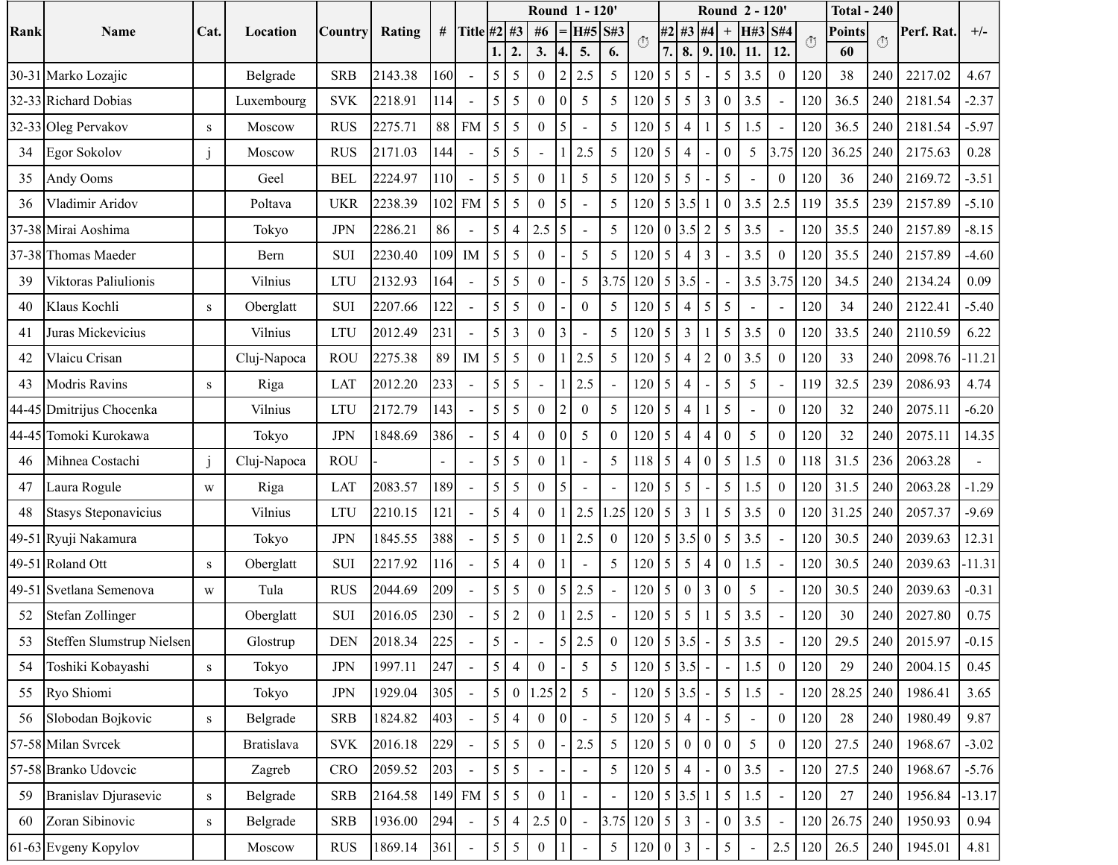|           |                           |              |                   |            |         |     |             |                 |                          |                  |                | <b>Round 1-120'</b> |              |                              |                 |                          |                  | Round 2 - 120'   |            |                          |                            | <b>Total - 240</b> |     |            |          |
|-----------|---------------------------|--------------|-------------------|------------|---------|-----|-------------|-----------------|--------------------------|------------------|----------------|---------------------|--------------|------------------------------|-----------------|--------------------------|------------------|------------------|------------|--------------------------|----------------------------|--------------------|-----|------------|----------|
| Rank      | Name                      | Cat          | Location          | Country    | Rating  | #   | Title #2 #3 |                 |                          | #6               |                | H#5                 | S#3          | $\left( \mathsf{L}\right)$   |                 | #2 #3                    | #4               | $\,^+$           | H#3        | <b>S#4</b>               | $\left( \mathbb{I}\right)$ | Points             |     | Perf. Rat. | $+/-$    |
|           |                           |              |                   |            | 2143.38 | 160 |             | 5               | $\overline{2}$<br>5      | 3.               | $\mathfrak{D}$ | 5.<br>2.5           | 6.           |                              | 7.              | 8.<br>5                  | 9.               | 10<br>5          | 11.<br>3.5 | 12.                      |                            | 60<br>38           | 240 |            | 4.67     |
| $30 - 31$ | Marko Lozajic             |              | Belgrade          | <b>SRB</b> |         |     |             |                 |                          | $\overline{0}$   |                |                     | 5            | 120                          | 5               |                          |                  |                  |            | $\mathbf{0}$             | 120                        |                    |     | 2217.02    |          |
| 32-33     | <b>Richard Dobias</b>     |              | Luxembourg        | <b>SVK</b> | 2218.91 | 114 |             | 5               | 5                        | $\theta$         | $\Omega$       | 5                   | 5            | 120                          | 5               | 5                        | 3                | $\theta$         | 3.5        | $\overline{a}$           | 120                        | 36.5               | 240 | 2181.54    | $-2.37$  |
| 32-33     | Oleg Pervakov             | ${\bf S}$    | Moscow            | <b>RUS</b> | 2275.71 | 88  | <b>FM</b>   | 5               | 5                        | $\overline{0}$   | 5              |                     | 5            | 120                          | 5               | $\overline{4}$           |                  | 5                | 1.5        | $\overline{\phantom{a}}$ | 120                        | 36.5               | 240 | 2181.54    | $-5.97$  |
| 34        | Egor Sokolov              | $\mathbf{J}$ | Moscow            | <b>RUS</b> | 2171.03 | 144 |             | 5               | 5                        |                  |                | 2.5                 | 5            | 120                          | 5               | $\overline{4}$           |                  | $\theta$         | 5          | 3.75                     | 120                        | 36.25              | 240 | 2175.63    | 0.28     |
| 35        | Andy Ooms                 |              | Geel              | <b>BEL</b> | 2224.97 | 110 |             | 5               | 5                        | $\theta$         |                | 5                   | 5            | 120                          | 5               | 5                        |                  | 5                |            | $\boldsymbol{0}$         | 120                        | 36                 | 240 | 2169.72    | $-3.51$  |
| 36        | Vladimir Aridov           |              | Poltava           | <b>UKR</b> | 2238.39 | 102 | <b>FM</b>   | 5               | 5                        | 0                |                |                     | 5            | 120                          |                 | 5 3.5                    | $\mathbf{1}$     | $\boldsymbol{0}$ | 3.5        | 2.5                      | 119                        | 35.5               | 239 | 2157.89    | $-5.10$  |
| 37-38     | Mirai Aoshima             |              | Tokyo             | <b>JPN</b> | 2286.21 | 86  |             | 5               | $\overline{4}$           | 2.5              | 5              |                     | 5            | 120                          |                 | $0\,3.5$                 | 2                | 5                | 3.5        | $\Box$                   | 120                        | 35.5               | 240 | 2157.89    | $-8.15$  |
| 37-38     | Thomas Maeder             |              | Bern              | <b>SUI</b> | 2230.40 | 109 | IM          | 5               | 5                        | $\theta$         |                | 5                   | 5            | 120                          | 5               | $\overline{4}$           | $\overline{3}$   |                  | 3.5        | $\mathbf{0}$             | 120                        | 35.5               | 240 | 2157.89    | $-4.60$  |
| 39        | Viktoras Paliulionis      |              | Vilnius           | <b>LTU</b> | 2132.93 | 164 |             | 5               | 5                        | $\theta$         |                | 5                   | 3.75         | 120                          | 5 <sup>5</sup>  | 3.5                      | $\blacksquare$   | $\blacksquare$   | 3.5        | 3.75                     | 120                        | 34.5               | 240 | 2134.24    | 0.09     |
| 40        | Klaus Kochli              | S            | Oberglatt         | <b>SUI</b> | 2207.66 | 122 |             | 5               | 5                        | $\theta$         |                | $\mathbf{0}$        | 5            | 120                          | 5               | $\overline{4}$           | 5                | 5                |            |                          | 120                        | 34                 | 240 | 2122.41    | $-5.40$  |
| 41        | Juras Mickevicius         |              | Vilnius           | <b>LTU</b> | 2012.49 | 231 |             | 5               | $\overline{3}$           | $\overline{0}$   |                |                     | 5            | 120                          | 5               | $\overline{3}$           |                  | 5                | 3.5        | $\boldsymbol{0}$         | 120                        | 33.5               | 240 | 2110.59    | 6.22     |
| 42        | Vlaicu Crisan             |              | Cluj-Napoca       | <b>ROU</b> | 2275.38 | 89  | IM          | 5               | 5                        | $\theta$         |                | 2.5                 | 5            | 120                          | 5               | $\overline{\mathcal{L}}$ | $\overline{2}$   | $\theta$         | 3.5        | $\boldsymbol{0}$         | 120                        | 33                 | 240 | 2098.76    | $-11.21$ |
| 43        | <b>Modris Ravins</b>      | ${\bf S}$    | Riga              | LAT        | 2012.20 | 233 |             | 5               | 5                        |                  |                | 2.5                 |              | 120                          | 5               | $\overline{4}$           |                  | 5                | 5          | $\overline{a}$           | 119                        | 32.5               | 239 | 2086.93    | 4.74     |
| 44-45     | Dmitrijus Chocenka        |              | Vilnius           | <b>LTU</b> | 2172.79 | 143 |             | 5               | 5                        | $\theta$         |                | $\theta$            | 5            | 120                          | 5               | $\overline{4}$           |                  | 5                |            | $\boldsymbol{0}$         | 120                        | 32                 | 240 | 2075.11    | $-6.20$  |
| 44-45     | Tomoki Kurokawa           |              | Tokyo             | <b>JPN</b> | 1848.69 | 386 |             | 5               | $\overline{4}$           | $\overline{0}$   | $\theta$       | 5                   | $\mathbf{0}$ | 120                          | 5               | $\overline{4}$           | $\overline{4}$   | $\boldsymbol{0}$ | 5          | $\boldsymbol{0}$         | 120                        | 32                 | 240 | 2075.11    | 14.35    |
| 46        | Mihnea Costachi           | $\mathbf{j}$ | Cluj-Napoca       | <b>ROU</b> |         |     |             | 5               | 5                        | $\theta$         |                |                     | 5            | 118                          | 5               | $\overline{4}$           | $\boldsymbol{0}$ | 5                | 1.5        | $\boldsymbol{0}$         | 118                        | 31.5               | 236 | 2063.28    |          |
| 47        | Laura Rogule              | W            | Riga              | LAT        | 2083.57 | 189 |             | 5               | 5                        | $\overline{0}$   | 5              |                     |              | 120                          | 5               | 5                        |                  | $\sqrt{5}$       | 1.5        | $\boldsymbol{0}$         | 120                        | 31.5               | 240 | 2063.28    | $-1.29$  |
| 48        | Stasys Steponavicius      |              | Vilnius           | <b>LTU</b> | 2210.15 | 121 |             | 5               | $\overline{4}$           | $\overline{0}$   |                | 2.5                 | .25          | 120                          | 5               | $\overline{3}$           |                  | $\mathfrak{S}$   | 3.5        | $\boldsymbol{0}$         | 120                        | 31.25              | 240 | 2057.37    | $-9.69$  |
| 49-51     | Ryuji Nakamura            |              | Tokyo             | <b>JPN</b> | 1845.55 | 388 |             | 5               | 5                        | $\theta$         |                | 2.5                 | $\theta$     | 120                          |                 | 5 3.5                    | $\boldsymbol{0}$ | 5                | 3.5        | $\overline{a}$           | 120                        | 30.5               | 240 | 2039.63    | 12.31    |
| 49-51     | Roland Ott                | ${\bf S}$    | Oberglatt         | <b>SUI</b> | 2217.92 | 116 |             | 5               | $\overline{4}$           | $\boldsymbol{0}$ |                |                     | 5            | 120                          | 5               | 5                        | 4                | $\theta$         | 1.5        |                          | 120                        | 30.5               | 240 | 2039.63    | $-11.31$ |
| 49-51     | Svetlana Semenova         | W            | Tula              | <b>RUS</b> | 2044.69 | 209 |             | 5               | 5                        | $\theta$         | 5              | 2.5                 |              | 120                          | $5\overline{)}$ | $\boldsymbol{0}$         | $\overline{3}$   | $\boldsymbol{0}$ | 5          |                          | 120                        | 30.5               | 240 | 2039.63    | $-0.31$  |
| 52        | Stefan Zollinger          |              | Oberglatt         | <b>SUI</b> | 2016.05 | 230 |             | 5               | $\overline{2}$           | $\overline{0}$   |                | 2.5                 |              | 120                          | 5               | 5                        |                  | 5                | 3.5        |                          | 120                        | 30                 | 240 | 2027.80    | 0.75     |
| 53        | Steffen Slumstrup Nielsen |              | Glostrup          | <b>DEN</b> | 2018.34 | 225 |             | $\mathcal{L}$   | $\overline{\phantom{a}}$ | $\blacksquare$   | $\mathsf{L}$   | 2.5                 | $\mathbf{0}$ | $120$   $3.5$                |                 |                          | $\blacksquare$   | $\mathcal{L}$    | 3.5        |                          | 120                        | 29.5               | 240 | 2015.97    | $-0.15$  |
| 54        | Toshiki Kobayashi         | ${\bf S}$    | Tokyo             | <b>JPN</b> | 1997.11 | 247 |             | 5 <sup>1</sup>  | $\overline{4}$           | $\theta$         |                | 5                   | 5            | $120 \mid 5 \mid 3.5 \mid$ - |                 |                          |                  | ÷,               | 1.5        | $\boldsymbol{0}$         | 120                        | 29                 | 240 | 2004.15    | 0.45     |
| 55        | Ryo Shiomi                |              | Tokyo             | <b>JPN</b> | 1929.04 | 305 |             | 5               | $\boldsymbol{0}$         | $1.25$ 2         |                | 5                   |              | $120 \mid 5 \mid 3.5$        |                 |                          |                  | $\sqrt{5}$       | 1.5        |                          | 120                        | 28.25              | 240 | 1986.41    | 3.65     |
| 56        | Slobodan Bojkovic         | ${\bf S}$    | Belgrade          | <b>SRB</b> | 1824.82 | 403 |             | 5               | $\overline{4}$           | $\overline{0}$   | $\mathbf{0}$   |                     | 5            | 120                          | 5 <sup>5</sup>  | $\overline{4}$           |                  | 5                |            | $\boldsymbol{0}$         | 120                        | 28                 | 240 | 1980.49    | 9.87     |
|           | 57-58 Milan Svrcek        |              | <b>Bratislava</b> | <b>SVK</b> | 2016.18 | 229 |             | 5               | 5                        | $\theta$         |                | 2.5                 | 5            | 120                          | 5 <sup>5</sup>  | $\overline{0}$           | $\mathbf{0}$     | $\boldsymbol{0}$ | 5          | $\mathbf{0}$             | 120                        | 27.5               | 240 | 1968.67    | $-3.02$  |
|           | 57-58 Branko Udovcic      |              | Zagreb            | <b>CRO</b> | 2059.52 | 203 |             | 5               | 5                        |                  |                | $\overline{a}$      | 5            | 120                          | 5 <sup>5</sup>  | $\overline{4}$           |                  | $\boldsymbol{0}$ | 3.5        | $\Box$                   | 120                        | 27.5               | 240 | 1968.67    | $-5.76$  |
| 59        | Branislav Djurasevic      | ${\bf S}$    | Belgrade          | <b>SRB</b> | 2164.58 |     | 149 FM      | $5\overline{)}$ | 5                        | $\overline{0}$   |                |                     |              | $120 \mid 5 \mid 3.5 \mid$   |                 |                          | $\cdot$ 1        | 5                | 1.5        | $\overline{\phantom{a}}$ | 120                        | 27                 | 240 | 1956.84    | 13.17    |
| 60        | Zoran Sibinovic           | ${\bf S}$    | Belgrade          | <b>SRB</b> | 1936.00 | 294 |             | 5               | $\overline{4}$           | 2.5              | $\overline{0}$ |                     | 3.75         | $120 \mid 5 \mid$            |                 | $\mathbf{3}$             |                  | $\boldsymbol{0}$ | 3.5        | $\blacksquare$           | 120                        | 26.75              | 240 | 1950.93    | 0.94     |
|           | 61-63 Evgeny Kopylov      |              | Moscow            | <b>RUS</b> | 1869.14 | 361 |             | 5               | 5                        | $\overline{0}$   |                |                     | 5            | 120                          | $\overline{0}$  | $\overline{3}$           |                  | $\mathfrak{S}$   |            | 2.5                      | 120                        | 26.5               | 240 | 1945.01    | 4.81     |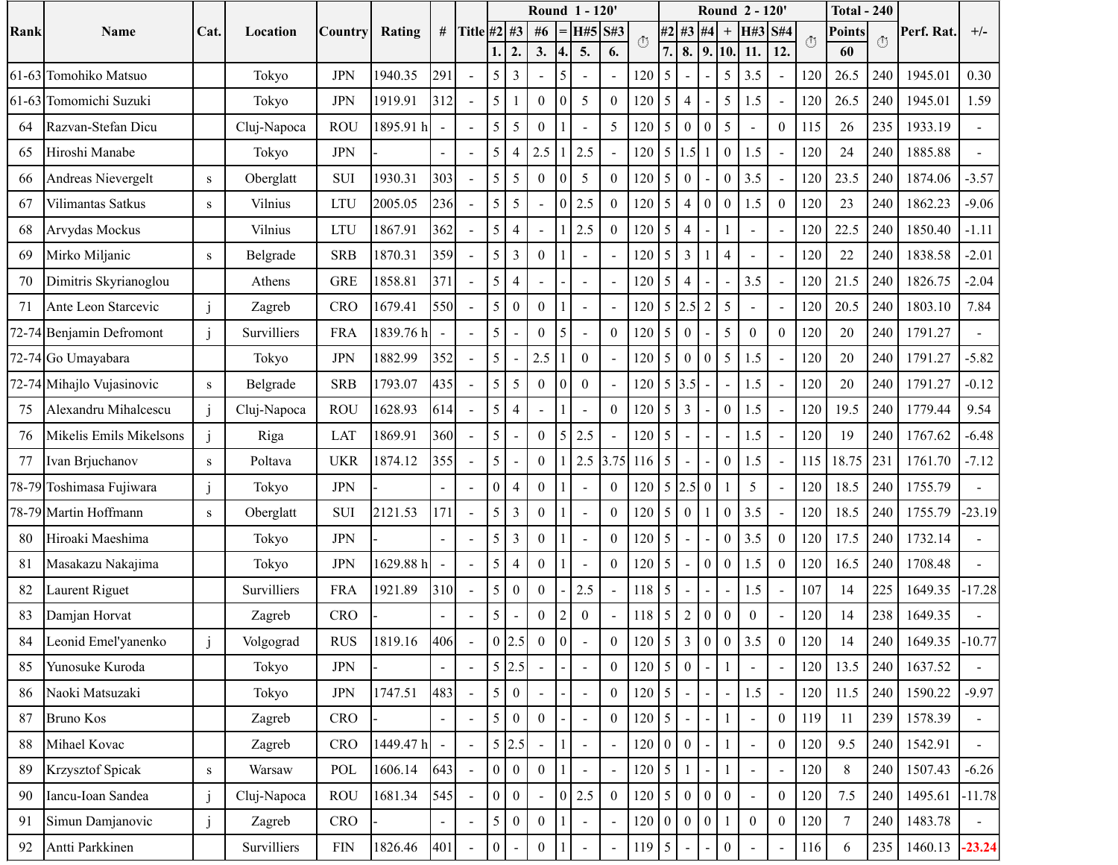|       |                           |                | Location    | Country      | Rating    | #   |                |                  |                         |                  |                  | Round 1 - 120' |                  |     |                 |                  |                  |                          | Round 2 - 120                              |                          |         | <b>Total - 240</b> |     | Perf. Rat. |                |
|-------|---------------------------|----------------|-------------|--------------|-----------|-----|----------------|------------------|-------------------------|------------------|------------------|----------------|------------------|-----|-----------------|------------------|------------------|--------------------------|--------------------------------------------|--------------------------|---------|--------------------|-----|------------|----------------|
| Rank  | Name                      | Cat.           |             |              |           |     | Title #2 #3    |                  |                         | #6               |                  | H#5            | S#3              | (1) | #2              | #3               | #4               | $^{+}$                   | H#3                                        | <b>S#4</b>               | $\circ$ | Points             | Ō   |            | $+/-$          |
|       |                           |                |             |              |           |     |                | 1                | 2.                      | 3.               | 4.               | 5.             | 6.               |     | 7.              | 8.               | 9.               | 10.                      | 11.                                        | 12.                      |         | 60                 |     |            |                |
| 61-63 | Tomohiko Matsuo           |                | Tokyo       | <b>JPN</b>   | 1940.35   | 291 |                | 5                | $\overline{\mathbf{3}}$ |                  | 5                |                |                  | 120 | 5               |                  |                  | 5                        | 3.5                                        | $\sim$                   | 120     | 26.5               | 240 | 1945.01    | 0.30           |
| 61-63 | Tomomichi Suzuki          |                | Tokyo       | <b>JPN</b>   | 1919.91   | 312 |                | 5                |                         | $\overline{0}$   | $\overline{0}$   | 5              | $\theta$         | 120 | 5               | $\overline{4}$   |                  | 5                        | 1.5                                        | $\overline{\phantom{a}}$ | 120     | 26.5               | 240 | 1945.01    | 1.59           |
| 64    | Razvan-Stefan Dicu        |                | Cluj-Napoca | <b>ROU</b>   | 1895.91 h |     |                | 5                | 5                       | $\overline{0}$   |                  |                | 5                | 120 | 5               | $\boldsymbol{0}$ | $\theta$         | 5                        | ÷,                                         | $\boldsymbol{0}$         | 115     | 26                 | 235 | 1933.19    | $\overline{a}$ |
| 65    | Hiroshi Manabe            |                | Tokyo       | <b>JPN</b>   |           |     |                | 5                | $\overline{4}$          | 2.5              |                  | 2.5            |                  | 120 | $\overline{5}$  | 1.5              |                  | $\boldsymbol{0}$         | 1.5                                        |                          | 120     | 24                 | 240 | 1885.88    |                |
| 66    | Andreas Nievergelt        | S              | Oberglatt   | <b>SUI</b>   | 1930.31   | 303 |                | 5                | 5                       | $\mathbf{0}$     | $\overline{0}$   | 5              | $\theta$         | 120 | 5               | $\boldsymbol{0}$ |                  | $\boldsymbol{0}$         | 3.5                                        | $\overline{\phantom{a}}$ | 120     | 23.5               | 240 | 1874.06    | $-3.57$        |
| 67    | Vilimantas Satkus         | S              | Vilnius     | <b>LTU</b>   | 2005.05   | 236 |                | 5                | 5                       |                  | 0                | 2.5            | $\theta$         | 120 | 5               | $\overline{4}$   | $\overline{0}$   | $\boldsymbol{0}$         | 1.5                                        | $\boldsymbol{0}$         | 120     | 23                 | 240 | 1862.23    | $-9.06$        |
| 68    | Arvydas Mockus            |                | Vilnius     | <b>LTU</b>   | 1867.91   | 362 |                | 5                | $\overline{4}$          |                  |                  | 2.5            | $\theta$         | 120 | 5               | $\overline{4}$   |                  |                          | $\overline{a}$                             |                          | 120     | 22.5               | 240 | 1850.40    | $-1.11$        |
| 69    | Mirko Miljanic            | S              | Belgrade    | <b>SRB</b>   | 1870.31   | 359 |                | 5                | $\overline{\mathbf{3}}$ | $\overline{0}$   |                  |                |                  | 120 | 5               | $\overline{3}$   |                  | $\overline{4}$           |                                            |                          | 120     | 22                 | 240 | 1838.58    | $-2.01$        |
| 70    | Dimitris Skyrianoglou     |                | Athens      | <b>GRE</b>   | 1858.81   | 371 |                | 5                | $\overline{4}$          |                  |                  |                |                  | 120 | 5               | $\overline{4}$   |                  | $\blacksquare$           | 3.5                                        |                          | 120     | 21.5               | 240 | 1826.75    | $-2.04$        |
| 71    | Ante Leon Starcevic       | $\mathbf{i}$   | Zagreb      | CRO          | 1679.41   | 550 |                | 5                | $\mathbf{0}$            | $\overline{0}$   |                  |                |                  | 120 | 5               | 2.5              | 2                | 5                        |                                            |                          | 120     | 20.5               | 240 | 1803.10    | 7.84           |
|       | 72-74 Benjamin Defromont  |                | Survilliers | <b>FRA</b>   | 1839.76h  |     |                | 5                |                         | $\mathbf{0}$     | 5                |                | $\theta$         | 120 | 5               | $\overline{0}$   |                  | 5                        | $\theta$                                   | $\boldsymbol{0}$         | 120     | 20                 | 240 | 1791.27    |                |
| 72-74 | Go Umayabara              |                | Tokyo       | <b>JPN</b>   | 1882.99   | 352 |                | 5                |                         | 2.5              |                  | $\Omega$       |                  | 120 | 5               | $\boldsymbol{0}$ | $\Omega$         | 5                        | 1.5                                        | $\overline{a}$           | 120     | 20                 | 240 | 1791.27    | $-5.82$        |
|       | 72-74 Mihajlo Vujasinovic | S              | Belgrade    | <b>SRB</b>   | 1793.07   | 435 |                | 5                | 5                       | $\Omega$         | 0                | $\Omega$       |                  | 120 |                 | 5 3.5            |                  |                          | 1.5                                        |                          | 120     | 20                 | 240 | 1791.27    | $-0.12$        |
| 75    | Alexandru Mihalcescu      | $\mathbf{i}$   | Cluj-Napoca | <b>ROU</b>   | 1628.93   | 614 |                | 5                | $\overline{4}$          |                  |                  |                | $\theta$         | 120 | 5               | $\overline{3}$   |                  | $\boldsymbol{0}$         | 1.5                                        | $\overline{a}$           | 120     | 19.5               | 240 | 1779.44    | 9.54           |
| 76    | Mikelis Emils Mikelsons   |                | Riga        | LAT          | 1869.91   | 360 |                | $5\overline{)}$  |                         | $\overline{0}$   | 5                | 2.5            |                  | 120 | 5               |                  |                  | $\blacksquare$           | 1.5                                        | $\bar{\phantom{a}}$      | 120     | 19                 | 240 | 1767.62    | $-6.48$        |
| 77    | Ivan Brjuchanov           | S              | Poltava     | <b>UKR</b>   | 1874.12   | 355 |                | 5                |                         | $\overline{0}$   |                  | 2.5            | 3.75             | 116 | 5               |                  |                  | $\theta$                 | 1.5                                        | $\sim$                   | 115     | 18.75              | 231 | 1761.70    | $-7.12$        |
| 78-79 | Toshimasa Fujiwara        | $\mathbf{j}$   | Tokyo       | <b>JPN</b>   |           |     |                | 0                | $\overline{4}$          | $\Omega$         |                  |                | $\Omega$         | 120 |                 | 5 2.5            | $\theta$         |                          | 5                                          | $\overline{\phantom{a}}$ | 120     | 18.5               | 240 | 1755.79    | $\overline{a}$ |
|       | 78-79 Martin Hoffmann     | S              | Oberglatt   | <b>SUI</b>   | 2121.53   | 171 | $\mathbf{r}$   | 5                | $\overline{3}$          | $\theta$         |                  |                | $\theta$         | 120 | 5               | $\boldsymbol{0}$ |                  | $\theta$                 | 3.5                                        | $\bar{\phantom{a}}$      | 120     | 18.5               | 240 | 1755.79    | $-23.19$       |
| 80    | Hiroaki Maeshima          |                | Tokyo       | <b>JPN</b>   |           |     |                | 5                | $\overline{3}$          | $\theta$         |                  |                | $\theta$         | 120 | 5               |                  |                  | $\theta$                 | 3.5                                        | $\boldsymbol{0}$         | 120     | 17.5               | 240 | 1732.14    |                |
| 81    | Masakazu Nakajima         |                | Tokyo       | <b>JPN</b>   | 1629.88 h |     |                | 5                | $\overline{4}$          | $\boldsymbol{0}$ |                  |                | $\theta$         | 120 | 5               |                  | $\overline{0}$   | $\theta$                 | 1.5                                        | $\boldsymbol{0}$         | 120     | 16.5               | 240 | 1708.48    |                |
| 82    | Laurent Riguet            |                | Survilliers | <b>FRA</b>   | 1921.89   | 310 |                | 5                | $\boldsymbol{0}$        | $\overline{0}$   |                  | 2.5            |                  | 118 | 5               | $\blacksquare$   |                  | $\overline{\phantom{a}}$ | 1.5                                        | $\overline{a}$           | 107     | 14                 | 225 | 1649.35    | 17.28          |
| 83    | Damjan Horvat             |                | Zagreb      | <b>CRO</b>   |           |     |                | 5                |                         | $\boldsymbol{0}$ | $\overline{c}$   | $\overline{0}$ |                  | 118 | 5               | $\overline{c}$   | $\boldsymbol{0}$ | $\theta$                 | $\boldsymbol{0}$                           |                          | 120     | 14                 | 238 | 1649.35    |                |
| 84    | Leonid Emel'yanenko       | $\overline{1}$ | Volgograd   | <b>RUS</b>   | 1819.16   | 406 |                |                  | $0$ 2.5                 | $\boldsymbol{0}$ | 0                |                | $\mathbf{0}$     |     |                 |                  |                  |                          | $120 \mid 5 \mid 3 \mid 0 \mid 0 \mid 3.5$ | $\boldsymbol{0}$         | 120     | 14                 | 240 | 1649.35    | $-10.77$       |
| 85    | Yunosuke Kuroda           |                | Tokyo       | <b>JPN</b>   |           |     | $\blacksquare$ |                  | 5 2.5                   |                  |                  |                | $\Omega$         | 120 | 5 <sup>5</sup>  | $\mathbf{0}$     |                  |                          |                                            | $\overline{\phantom{a}}$ | 120     | 13.5               | 240 | 1637.52    | ÷.             |
| 86    | Naoki Matsuzaki           |                | Tokyo       | $\mbox{JPN}$ | 1747.51   | 483 |                | 5                | $\mathbf{0}$            |                  |                  |                | $\boldsymbol{0}$ | 120 | $5\overline{5}$ |                  |                  |                          | 1.5                                        |                          | 120     | 11.5               | 240 | 1590.22    | $-9.97$        |
| 87    | <b>Bruno Kos</b>          |                | Zagreb      | <b>CRO</b>   |           |     |                | 5                | $\boldsymbol{0}$        | $\overline{0}$   |                  |                | $\boldsymbol{0}$ | 120 | $5\overline{)}$ |                  |                  | $\mathbf{1}$             |                                            | $\overline{0}$           | 119     | 11                 | 239 | 1578.39    |                |
| 88    | Mihael Kovac              |                | Zagreb      | CRO          | 1449.47 h |     |                |                  | 5 2.5                   |                  |                  |                |                  | 120 | $\overline{0}$  | $\mathbf{0}$     |                  | $\mathbf{1}$             | $\overline{\phantom{a}}$                   | $\mathbf{0}$             | 120     | 9.5                | 240 | 1542.91    | $\overline{a}$ |
| 89    | Krzysztof Spicak          | ${\bf S}$      | Warsaw      | POL          | 1606.14   | 643 | $\mathbf{r}$   |                  | 0 <sub>0</sub>          | $\theta$         |                  |                |                  | 120 | 5 <sub>1</sub>  | $\mathbf{1}$     |                  | $\mathbf{1}$             |                                            |                          | 120     | $\,8\,$            | 240 | 1507.43    | $-6.26$        |
| 90    | Iancu-Ioan Sandea         | j              | Cluj-Napoca | <b>ROU</b>   | 1681.34   | 545 | $\omega$       |                  | 0 <sub>0</sub>          |                  | $\boldsymbol{0}$ | 2.5            | $\boldsymbol{0}$ | 120 | 5 <sup>1</sup>  | $\mathbf{0}$     | $\overline{0}$   | $\overline{0}$           | $\mathbb{Z}^2$                             | $\mathbf{0}$             | 120     | 7.5                | 240 | 1495.61    | $-11.78$       |
| 91    | Simun Damjanovic          | j              | Zagreb      | <b>CRO</b>   |           |     | $\overline{a}$ | 5                | $\overline{0}$          | $\overline{0}$   |                  |                |                  | 120 | $\overline{0}$  | $\mathbf{0}$     | $\mathbf{0}$     | -1                       | $\mathbf{0}$                               | $\boldsymbol{0}$         | 120     | $\overline{7}$     | 240 | 1483.78    | $\omega$       |
| 92    | Antti Parkkinen           |                | Survilliers | ${\rm FIN}$  | 1826.46   | 401 |                | $\boldsymbol{0}$ |                         | $\boldsymbol{0}$ |                  |                |                  | 119 | $5\overline{)}$ |                  |                  | $\boldsymbol{0}$         |                                            | $\overline{a}$           | 116     | 6                  | 235 | 1460.13    | $-23.24$       |